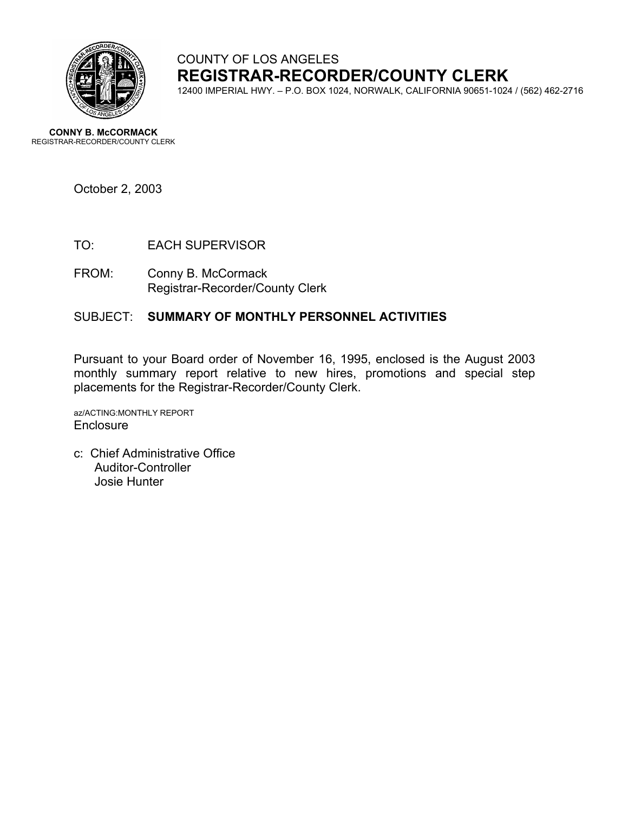

# COUNTY OF LOS ANGELES **REGISTRAR-RECORDER/COUNTY CLERK**

12400 IMPERIAL HWY. – P.O. BOX 1024, NORWALK, CALIFORNIA 90651-1024 / (562) 462-2716

**CONNY B. McCORMACK** REGISTRAR-RECORDER/COUNTY CLERK

October 2, 2003

- TO: EACH SUPERVISOR
- FROM: Conny B. McCormack Registrar-Recorder/County Clerk

#### SUBJECT: **SUMMARY OF MONTHLY PERSONNEL ACTIVITIES**

Pursuant to your Board order of November 16, 1995, enclosed is the August 2003 monthly summary report relative to new hires, promotions and special step placements for the Registrar-Recorder/County Clerk.

az/ACTING:MONTHLY REPORT **Enclosure** 

c: Chief Administrative Office Auditor-Controller Josie Hunter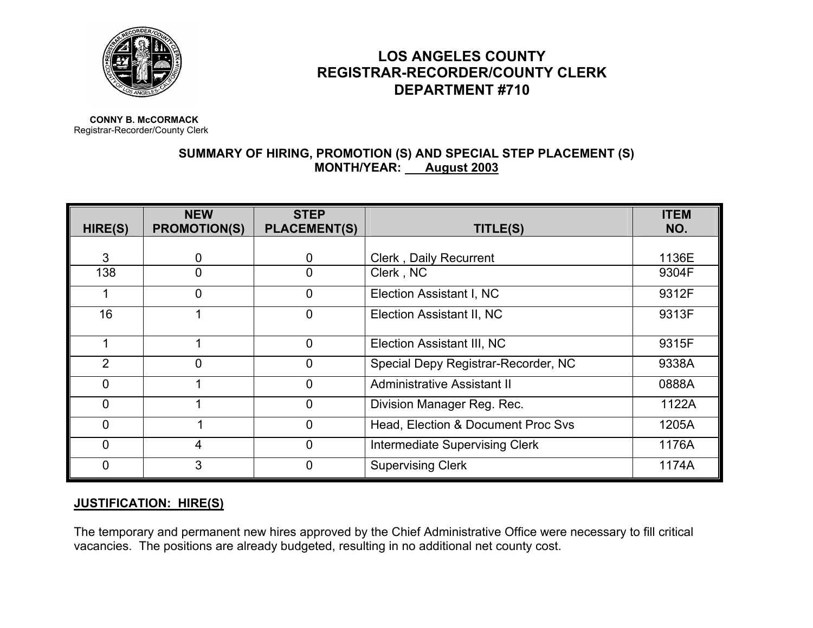

## **LOS ANGELES COUNTY REGISTRAR-RECORDER/COUNTY CLERK DEPARTMENT #710**

**CONNY B. McCORMACK**Registrar-Recorder/County Clerk

### **SUMMARY OF HIRING, PROMOTION (S) AND SPECIAL STEP PLACEMENT (S) MONTH/YEAR: August 2003**

| HIRE(S)        | <b>NEW</b><br><b>PROMOTION(S)</b> | <b>STEP</b><br><b>PLACEMENT(S)</b> | TITLE(S)                            | <b>ITEM</b><br>NO. |
|----------------|-----------------------------------|------------------------------------|-------------------------------------|--------------------|
|                |                                   |                                    |                                     |                    |
| 3              | 0                                 | 0                                  | <b>Clerk, Daily Recurrent</b>       | 1136E              |
| 138            | ∩                                 | 0                                  | Clerk, NC                           | 9304F              |
|                | $\overline{0}$                    | $\overline{0}$                     | Election Assistant I, NC            | 9312F              |
| 16             |                                   | 0                                  | Election Assistant II, NC           | 9313F              |
|                |                                   | $\overline{0}$                     | Election Assistant III, NC          | 9315F              |
| $\overline{2}$ | 0                                 | 0                                  | Special Depy Registrar-Recorder, NC | 9338A              |
| $\mathbf{0}$   |                                   | 0                                  | <b>Administrative Assistant II</b>  | 0888A              |
| $\Omega$       |                                   | $\overline{0}$                     | Division Manager Reg. Rec.          | 1122A              |
| $\mathbf{0}$   |                                   | 0                                  | Head, Election & Document Proc Svs  | 1205A              |
| $\mathbf 0$    | 4                                 | 0                                  | Intermediate Supervising Clerk      | 1176A              |
| $\Omega$       | 3                                 | 0                                  | <b>Supervising Clerk</b>            | 1174A              |

#### **JUSTIFICATION: HIRE(S)**

The temporary and permanent new hires approved by the Chief Administrative Office were necessary to fill critical vacancies. The positions are already budgeted, resulting in no additional net county cost.